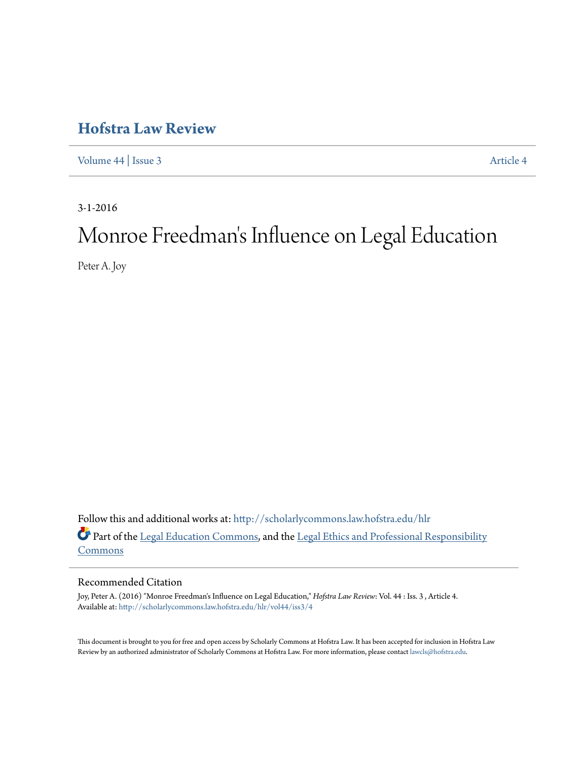## **[Hofstra Law Review](http://scholarlycommons.law.hofstra.edu/hlr?utm_source=scholarlycommons.law.hofstra.edu%2Fhlr%2Fvol44%2Fiss3%2F4&utm_medium=PDF&utm_campaign=PDFCoverPages)**

[Volume 44](http://scholarlycommons.law.hofstra.edu/hlr/vol44?utm_source=scholarlycommons.law.hofstra.edu%2Fhlr%2Fvol44%2Fiss3%2F4&utm_medium=PDF&utm_campaign=PDFCoverPages) | [Issue 3](http://scholarlycommons.law.hofstra.edu/hlr/vol44/iss3?utm_source=scholarlycommons.law.hofstra.edu%2Fhlr%2Fvol44%2Fiss3%2F4&utm_medium=PDF&utm_campaign=PDFCoverPages) [Article 4](http://scholarlycommons.law.hofstra.edu/hlr/vol44/iss3/4?utm_source=scholarlycommons.law.hofstra.edu%2Fhlr%2Fvol44%2Fiss3%2F4&utm_medium=PDF&utm_campaign=PDFCoverPages)

3-1-2016

# Monroe Freedman 's Influence on Legal Education

Peter A. Joy

Follow this and additional works at: [http://scholarlycommons.law.hofstra.edu/hlr](http://scholarlycommons.law.hofstra.edu/hlr?utm_source=scholarlycommons.law.hofstra.edu%2Fhlr%2Fvol44%2Fiss3%2F4&utm_medium=PDF&utm_campaign=PDFCoverPages) Part of the [Legal Education Commons,](http://network.bepress.com/hgg/discipline/857?utm_source=scholarlycommons.law.hofstra.edu%2Fhlr%2Fvol44%2Fiss3%2F4&utm_medium=PDF&utm_campaign=PDFCoverPages) and the [Legal Ethics and Professional Responsibility](http://network.bepress.com/hgg/discipline/895?utm_source=scholarlycommons.law.hofstra.edu%2Fhlr%2Fvol44%2Fiss3%2F4&utm_medium=PDF&utm_campaign=PDFCoverPages) **[Commons](http://network.bepress.com/hgg/discipline/895?utm_source=scholarlycommons.law.hofstra.edu%2Fhlr%2Fvol44%2Fiss3%2F4&utm_medium=PDF&utm_campaign=PDFCoverPages)** 

#### Recommended Citation

Joy, Peter A. (2016) "Monroe Freedman's Influence on Legal Education," *Hofstra Law Review*: Vol. 44 : Iss. 3 , Article 4. Available at: [http://scholarlycommons.law.hofstra.edu/hlr/vol44/iss3/4](http://scholarlycommons.law.hofstra.edu/hlr/vol44/iss3/4?utm_source=scholarlycommons.law.hofstra.edu%2Fhlr%2Fvol44%2Fiss3%2F4&utm_medium=PDF&utm_campaign=PDFCoverPages)

This document is brought to you for free and open access by Scholarly Commons at Hofstra Law. It has been accepted for inclusion in Hofstra Law Review by an authorized administrator of Scholarly Commons at Hofstra Law. For more information, please contact [lawcls@hofstra.edu](mailto:lawcls@hofstra.edu).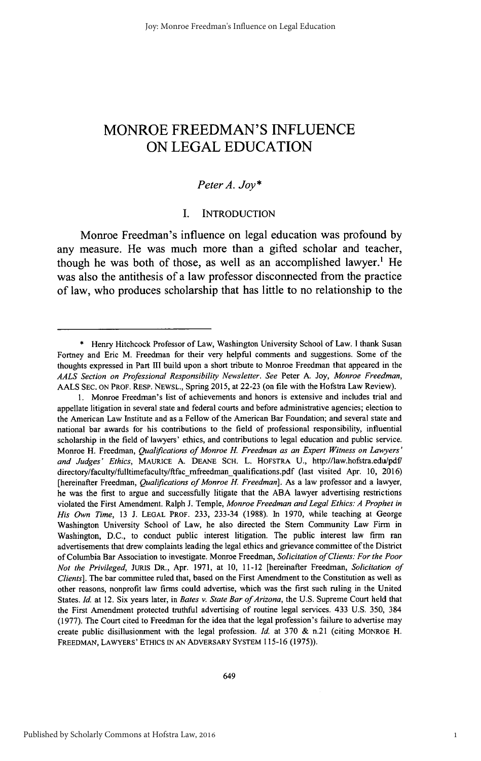### MONROE **FREEDMAN'S INFLUENCE ON LEGAL EDUCATION**

#### *Peter A. Joy\**

#### **I. INTRODUCTION**

Monroe Freedman's influence on legal education was profound **by** any measure. He was much more than a gifted scholar and teacher, though he was both of those, as well as an accomplished lawyer.' He was also the antithesis of a law professor disconnected from the practice of law, who produces scholarship that has little to no relationship to the

**<sup>\*</sup>** Henry Hitchcock Professor of Law, Washington University School of Law. **I** thank Susan Fortney and Eric M. Freedman for their very helpful comments and suggestions. Some **of** the thoughts expressed in Part **III** build upon a short tribute to Monroe Freedman that appeared in the *AALS Section on Professional Responsibility Newsletter. See* Peter **A.** Joy, *Monroe Freedman,* **AALS SEC. ON** PROF. RESP. **NEWSL.,** Spring **2015,** at **22-23** (on file with the Hofstra Law Review).

**<sup>1.</sup>** Monroe Freedman's list of achievements and honors is extensive and includes trial and appellate litigation in several state and federal courts and before administrative agencies; election to the American Law Institute and as a Fellow of the American Bar Foundation; and several state and national bar awards for his contributions to the field of professional responsibility, influential scholarship in the field of lawyers' ethics, and contributions to legal education and public service. Monroe H. Freedman, *Qualifications of Monroe H. Freedman as an Expert Witness on Lawyers' and Judges' Ethics,* **MAURICE A. DEANE SCH.** L. **HOFSTRA U.,** http://law.hofstra.edulpdF directory/faculty/fulltimefaculty/ftfac-mfreedman qualifications.pdf (last visited Apr. **10, 2016)** [hereinafter Freedman, *Qualifications of Monroe H. Freedman*]. As a law professor and a lawyer, he was the first to argue and successfully litigate that the **ABA** lawyer advertising restrictions violated the First Amendment. Ralph **J.** Temple, *Monroe Freedman and Legal Ethics: A Prophet in His Own Time,* **13 J. LEGAL** PROF. **233,** 233-34 **(1988).** In **1970,** while teaching at George Washington University School of Law, he also directed the Stem Community Law Firm in Washington, **D.C.,** to conduct public interest litigation. The public interest law firm ran advertisements that drew complaints leading the legal ethics and grievance committee of the District of Columbia Bar Association to investigate. Monroe Freedman, *Solicitation of Clients: For the Poor Not the Privileged,* JURIS DR., Apr. **1971,** at **10,** 11-12 [hereinafter Freedman, *Solicitation of Clients].* The bar committee ruled that, based on the First Amendment to the Constitution as well as other reasons, nonprofit law firms could advertise, which was the first such ruling in the United States. *Id.* at 12. Six years later, in *Bates v. State Bar of Arizona*, the U.S. Supreme Court held that the First Amendment protected truthful advertising of routine legal services. 433 **U.S. 350,** 384 **(1977).** The Court cited to Freedman for the idea that the legal profession's failure to advertise may create public disillusionment with the legal profession. *Id.* at **370 &** n.21 (citing MONROE H. FREEDMAN, LAWYERS' ETHICS **[N AN** ADVERSARY SYSTEM **115-16 (1975)).**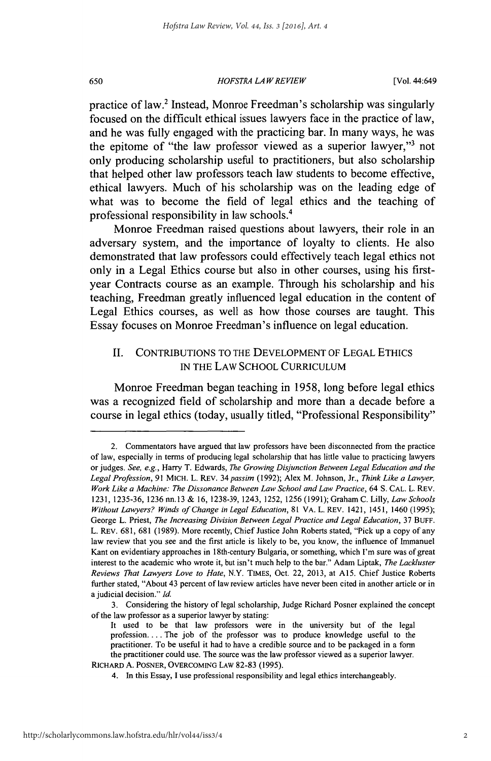#### *HOFSTRA LAW REVIEW* **650** [Vol. 44:649

practice of law.<sup>2</sup> Instead, Monroe Freedman's scholarship was singularly focused on the difficult ethical issues lawyers face in the practice of law, and he was fully engaged with the practicing bar. In many ways, he was the epitome of "the law professor viewed as a superior lawyer,"<sup>3</sup> not only producing scholarship useful to practitioners, but also scholarship that helped other law professors teach law students to become effective, ethical lawyers. Much of his scholarship was on the leading edge of what was to become the field of legal ethics and the teaching of professional responsibility in law schools.'

Monroe Freedman raised questions about lawyers, their role in an adversary system, and the importance of loyalty to clients. He also demonstrated that law professors could effectively teach legal ethics not only in a Legal Ethics course but also in other courses, using his firstyear Contracts course as an example. Through his scholarship and his teaching, Freedman greatly influenced legal education in the content of Legal Ethics courses, as well as how those courses are taught. This Essay focuses on Monroe Freedman's influence on legal education.

#### **II. CONTRIBUTIONS** TO THE **DEVELOPMENT** OF **LEGAL ETHICS** IN THE LAW **SCHOOL CURRICULUM**

Monroe Freedman began teaching in **1958,** long before legal ethics was a recognized field of scholarship and more than a decade before a course in legal ethics (today, usually titled, "Professional Responsibility"

<sup>2.</sup> Commentators have argued that law professors have been disconnected from the practice of law, especially in terms of producing legal scholarship that has little value to practicing lawyers or judges. *See, e.g.,* Harry T. Edwards, *The Growing Disjunction Between Legal Education and the Legal Profession,* **91** MICH. L. REV. *34 passim* **(1992);** Alex M. Johnson, Jr., *Think Like a Lawyer, Work Like a Machine: The Dissonance Between Law School and Law Practice, 64* **S. CAL.** L. REV. **1231, 1235-36, 1236 nn.13 & 16, 1238-39,** 1243, **1252, 1256 (1991);** Graham **C.** Lilly, *Law Schools Without Lawyers? Winds of Change in Legal Education,* **81** VA. L. REV. 1421, 1451, 1460 **(1995);** George L. Priest, *The Increasing Division Between Legal Practice and Legal Education,* **37 BUFF.** L. REV. **681, 681 (1989).** More recently, Chief Justice John Roberts stated, "Pick up a copy of any law review that you see and the first article is likely to be, you know, the influence of Immanuel Kant on evidentiary approaches in 18th-century Bulgaria, or something, which I'm sure was of great interest to the academic who wrote it, but isn't much help to the bar." Adam Liptak, *The Lackluster Reviews That Lawyers Love to Hate,* N.Y. **TIMEs,** Oct. 22, **2013,** at **Al5.** Chief Justice Roberts further stated, "About 43 percent of law review articles have never been cited in another article or in a judicial decision." *Id.*

**<sup>3.</sup>** Considering the history of legal scholarship, Judge Richard Posner explained the concept of the law professor as a superior lawyer **by** stating:

It used to be that law professors were in the university but of the legal profession.... The **job** of the professor was to produce knowledge useful to the practitioner. To be useful it had to have a credible source and to be packaged in a form the practitioner could use. The source was the law professor viewed as a superior lawyer.

**RICHARD A.** POSNER, OVERCOMING **LAW 82-83 (1995).**

<sup>4.</sup> In this Essay, **I** use professional responsibility and legal ethics interchangeably.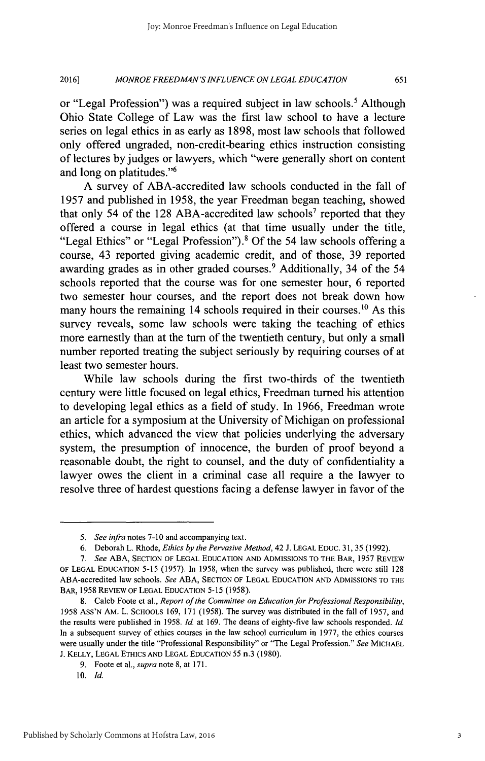#### *MONROE FREEDMAN'S INFLUENCE ON LEGAL EDUCATION* **2016] 65 1**

or "Legal Profession") was a required subject in law schools.' Although Ohio State College of Law was the first law school to have a lecture series on legal ethics in as early as **1898,** most law schools that followed only offered ungraded, non-credit-bearing ethics instruction consisting of lectures **by** judges or lawyers, which "were generally short on content and long on platitudes."<sup>6</sup>

**A** survey of ABA-accredited law schools conducted in the fall of *1957* and published in *1958,* the year Freedman began teaching, showed that only *54* of the **128** ABA-accredited law schools' reported that they offered a course in legal ethics (at that time usually under the title, "Legal Ethics" or "Legal Profession").<sup>8</sup> Of the 54 law schools offering a course, 43 reported giving academic credit, and of those, **39** reported awarding grades as in other graded courses.<sup>9</sup> Additionally, 34 of the 54 schools reported that the course was for one semester hour, **6** reported two semester hour courses, and the report does not break down how many hours the remaining 14 schools required in their courses.<sup>10</sup> As this survey reveals, some law schools were taking the teaching of ethics more earnestly than at the turn of the twentieth century, but only a small number reported treating the subject seriously **by** requiring courses of at least two semester hours.

While law schools during the first two-thirds of the twentieth century were little focused on legal ethics, Freedman turned his attention to developing legal ethics as a field of study. In **1966,** Freedman wrote an article for a symposium at the University of Michigan on professional ethics, which advanced the view that policies underlying the adversary system, the presumption of innocence, the burden of proof beyond a reasonable doubt, the right to counsel, and the duty of confidentiality a lawyer owes the client in a criminal case all require a the lawyer to resolve three of hardest questions facing a defense lawyer in favor of the

*<sup>5.</sup> See infra* notes **7-10** and accompanying text.

*<sup>6.</sup>* Deborah L. Rhode, *Ethics by the Pervasive Method,* 42 **J. LEGAL EDUC. 31, 35 (1992).**

*<sup>7.</sup> See* **ABA, SECTION** OF **LEGAL EDUCATION AND** ADMISSIONS TO THE BAR, **1957** REVIEW OF **LEGAL EDUCATION** *5-15* **(1957).** In **1958,** when the survey was published, there were still **128** ABA-accredited law schools. *See* **ABA, SECTION** OF **LEGAL EDUCATION AND** ADMISSIONS TO THE BAR, **1958 REVIEW** OF **LEGAL EDUCATION 5-15 (1958).**

**<sup>8.</sup>** Caleb Foote et al., *Report of the Committee on Education for Professional Responsibility,* **1958** Ass'N AM. L. **SCHOOLS 169, 171 (1958).** The survey was distributed in the fall of **1957,** and the results were published in **1958.** *Id.* at **169.** The deans of eighty-five law schools responded. *Id.* In a subsequent survey of ethics courses in the law school curriculum in **1977,** the ethics courses were usually under the title "Professional Responsibility" or "The Legal Profession." *See* MICHAEL **J.** KELLY, **LEGAL** ETHICS **AND LEGAL EDUCATION** *55* **n.3 (1980).**

**<sup>9.</sup>** Foote et al., *supra* note **8,** at **171.**

*<sup>10.</sup> Id.*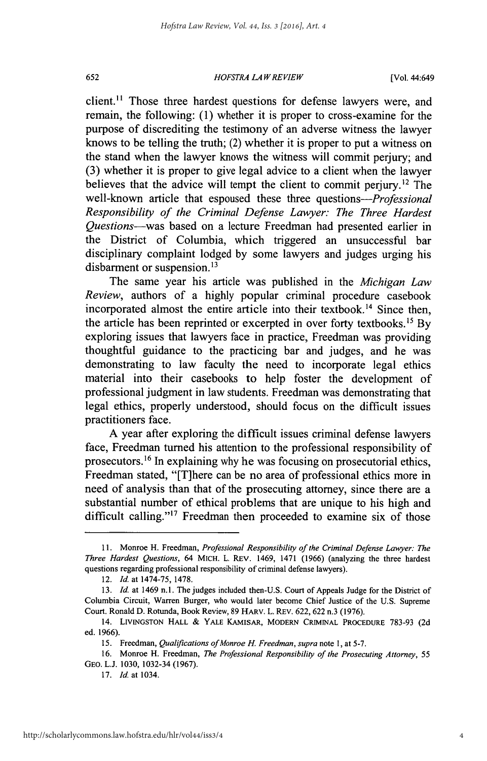#### *HOFSTRA LAW REVIEW* **652** [Vol. 44:649

client.<sup>11</sup> Those three hardest questions for defense lawyers were, and remain, the following: **(1)** whether it is proper to cross-examine for the purpose of discrediting the testimony of an adverse witness the lawyer knows to be telling the truth; (2) whether it is proper to put a witness on the stand when the lawyer knows the witness will commit perjury; and **(3)** whether it is proper to give legal advice to a client when the lawyer believes that the advice will tempt the client to commit perjury.<sup>12</sup> The well-known article that espoused these three *questions-Professional Responsibility of the Criminal Defense Lawyer: The Three Hardest Questions-was* based on a lecture Freedman had presented earlier in the District of Columbia, which triggered an unsuccessful bar disciplinary complaint lodged **by** some lawyers and judges urging his disbarment or suspension.<sup>13</sup>

The same year his article was published in the *Michigan Law Review,* authors of a **highly** popular criminal procedure casebook incorporated almost the entire article into their textbook.<sup>14</sup> Since then, the article has been reprinted or excerpted in over forty textbooks." **By** exploring issues that lawyers face in practice, Freedman was providing thoughtful guidance to the practicing bar and judges, and he was demonstrating to law faculty the need to incorporate legal ethics material into their casebooks to help foster the development of professional judgment in law students. Freedman was demonstrating that legal ethics, properly understood, should focus on the difficult issues practitioners face.

**A** year after exploring the difficult issues criminal defense lawyers face, Freedman turned his attention to the professional responsibility of prosecutors.<sup>16</sup> In explaining why he was focusing on prosecutorial ethics, Freedman stated, "[T]here can be no area of professional ethics more in need of analysis than that of the prosecuting attorney, since there are a substantial number of ethical problems that are unique to his high and difficult calling."<sup>17</sup> Freedman then proceeded to examine six of those

**<sup>11.</sup>** Monroe H. Freedman, *Professional Responsibility of the Criminal Defense Lawyer: The Three Hardest Questions,* 64 MICH. L. REv. 1469, 1471 **(1966)** (analyzing the three hardest questions regarding professional responsibility of criminal defense lawyers).

<sup>12.</sup> *Id.* at 1474-75, **1478.**

<sup>13.</sup> *Id.* at 1469 n.1. The judges included then-U.S. Court of Appeals Judge for the District of Columbia Circuit, Warren Burger, who would later become Chief Justice of the **U.S.** Supreme Court. Ronald **D.** Rotunda, Book Review, **89 HARV.** L. REv. **622, 622** n.3 **(1976).**

<sup>14.</sup> **LIVINGSTON HALL &** YALE **KAMISAR, MODERN CRIMINAL PROCEDURE 783-93 (2d** ed. **1966).**

**<sup>15.</sup>** *Freedman, Qualifications ofMonroe H. Freedman, supra* note **1,** at **5-7.**

**<sup>16.</sup>** Monroe H. Freedman, *The Professional Responsibility of the Prosecuting Attorney, 55* GEO. **L.J. 1030,** 1032-34 **(1967).**

**<sup>17.</sup>** *Id.* at 1034.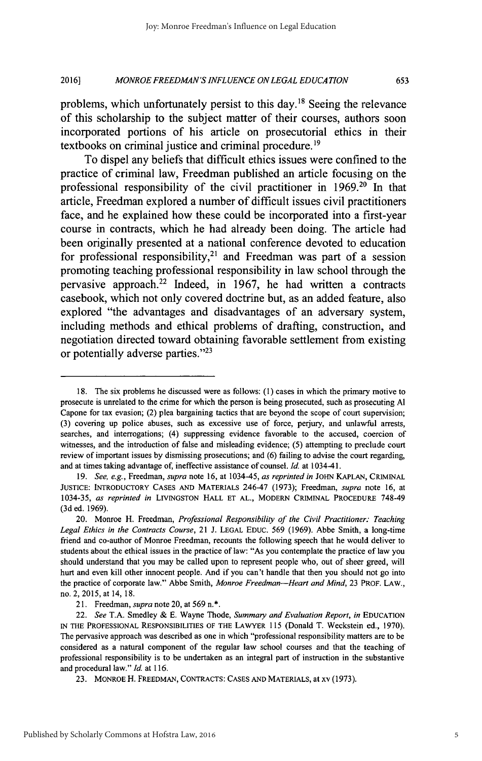#### *MONROE FREEDMAN'S INFLUENCE ON LEGAL EDUCATION* **2016] 653**

problems, which unfortunately persist to this day.<sup>18</sup> Seeing the relevance of this scholarship to the subject matter of their courses, authors soon incorporated portions of his article on prosecutorial ethics in their textbooks on criminal justice and criminal procedure.<sup>19</sup>

To dispel any beliefs that difficult ethics issues were confined to the practice of criminal law, Freedman published an article focusing on the professional responsibility of the civil practitioner in **1969.20** In that article, Freedman explored a number of difficult issues civil practitioners face, and he explained how these could be incorporated into a first-year course in contracts, which he had already been doing. The article had been originally presented at a national conference devoted to education for professional responsibility,<sup>21</sup> and Freedman was part of a session promoting teaching professional responsibility in law school through the pervasive approach.22 Indeed, in **1967,** he had written a contracts casebook, which not only covered doctrine but, as an added feature, also explored "the advantages and disadvantages of an adversary system, including methods and ethical problems of drafting, construction, and negotiation directed toward obtaining favorable settlement from existing or potentially adverse parties."<sup>23</sup>

5

**<sup>18.</sup>** The six problems he discussed were as follows: **(1)** cases in which the primary motive to prosecute is unrelated to the crime for which the person is being prosecuted, such as prosecuting **Al** Capone for tax evasion; (2) plea bargaining tactics that are beyond the scope of court supervision; **(3)** covering up police abuses, such as excessive use of force, perjury, and unlawful arrests, searches, and interrogations; (4) suppressing evidence favorable to the accused, coercion of witnesses, and the introduction of false and misleading evidence; *(5)* attempting to preclude court review of important issues **by** dismissing prosecutions; and **(6)** failing to advise the court regarding, and at times taking advantage of, ineffective assistance of counsel. *Id.* at 1034-41.

*<sup>19.</sup> See, e.g., Freedman, supra* note **16,** at 1034-45, *as reprinted in* **JOHN KAPLAN,** CRIMINAL **JUSTICE:** INTRODUCTORY **CASES AND** MATERIALS 246-47 **(1973);** Freedman, *supra* note **16,** at *1034-35, as reprinted in* LIVINGSTON HALL **ET AL.,** MODERN CRIMINAL PROCEDURE 748-49 **(3d** ed. **1969).**

<sup>20.</sup> Monroe H. Freedman, *Professional Responsibility of the Civil Practitioner: Teaching Legal Ethics in the Contracts Course,* 21 **J. LEGAL EDUC.** *569* **(1969).** Abbe Smith, a long-time friend and co-author of Monroe Freedman, recounts the following speech that he would deliver to students about the ethical issues in the practice of law: "As you contemplate the practice of law you should understand that you may be called upon to represent people who, out of sheer greed, will hurt and even kill other innocent people. And if you can't handle that then you should not go into the practice of corporate law." Abbe Smith, *Monroe Freedman-Heart and Mind,* **23** PROF. LAW., no. 2, **2015,** at 14, **18.**

<sup>21.</sup> Freedman, *supra* note 20, at *569* n.\*.

*<sup>22.</sup> See* **T.A.** Smedley **& E.** Wayne Thode, *Summary and Evaluation Report, in* **EDUCATION IN** THE **PROFESSIONAL** RESPONSIBILITIES OF THE LAWYER **115** (Donald T. Weckstein **ed., 1970).** The pervasive approach was described as one in which "professional responsibility matters are to be considered as a natural component of the regular law school courses and that the teaching of professional responsibility is to be undertaken as an integral part of instruction in the substantive and procedural law." *Id* at **116.**

**<sup>23.</sup>** MONROE H. FREEDMAN, **CONTRACTS: CASES AND** MATERIALS, at xv **(1973).**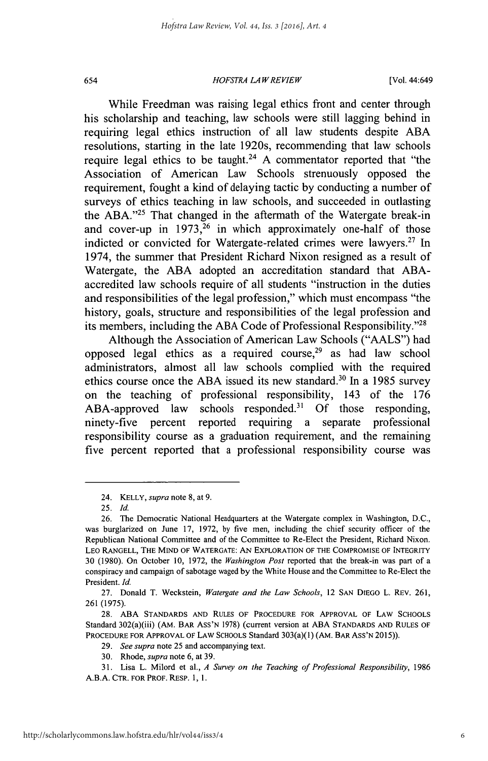#### *HOFSTRA LAW REVIEW* 654 [Vol. 44:649

While Freedman was raising legal ethics front and center through his scholarship and teaching, law schools were still lagging behind in requiring legal ethics instruction of all law students despite **ABA** resolutions, starting in the late 1920s, recommending that law schools require legal ethics to be taught.<sup>24</sup>**A** commentator reported that "the Association of American Law Schools strenuously opposed the requirement, fought a kind of delaying tactic **by** conducting a number of surveys of ethics teaching in law schools, and succeeded in outlasting the ABA.<sup>"25</sup> That changed in the aftermath of the Watergate break-in and cover-up in  $1973$ ,  $26$  in which approximately one-half of those indicted or convicted for Watergate-related crimes were lawyers.<sup>27</sup> In 1974, the summer that President Richard Nixon resigned as a result of Watergate, the **ABA** adopted an accreditation standard that **ABA**accredited law schools require of all students "instruction in the duties and responsibilities of the legal profession," which must encompass "the history, goals, structure and responsibilities of the legal profession and its members, including the ABA Code of Professional Responsibility."<sup>28</sup>

Although the Association of American Law Schools **("AALS")** had opposed legal ethics as a required course, $29$  as had law school administrators, almost all law schools complied with the required ethics course once the ABA issued its new standard.<sup>30</sup> In a 1985 survey on the teaching of professional responsibility, 143 of the **176** ABA-approved law schools responded." **Of** those responding, ninety-five percent reported requiring a separate professional responsibility course as a graduation requirement, and the remaining five percent reported that a professional responsibility course was

<sup>24.</sup> **KELLY,** *supra* note **8,** at **9.**

*<sup>25.</sup> Id.*

**<sup>26.</sup>** The Democratic National Headquarters at the Watergate complex in Washington, **D.C.,** was burglarized on June **17, 1972, by** five men, including the chief security officer of the Republican National Committee and of the Committee to Re-Elect the President, Richard Nixon. **LEO RANGELL, THE MIND OF WATERGATE: AN EXPLORATION OF THE COMPROMISE OF INTEGRITY 30 (1980).** On October **10, 1972,** the *Washington Post* reported that the break-in was part of a conspiracy and campaign of sabotage waged **by** the White House and the Committee to Re-Elect the President. *Id*

**<sup>27.</sup>** Donald T. Weckstein, *Watergate and the Law Schools,* <sup>12</sup>**SAN** DIEGO L. REv. **261, 261 (1975).**

**<sup>28.</sup> ABA STANDARDS AND RULES OF PROCEDURE FOR APPROVAL OF LAW SCHOOLS** Standard 302(a)(iii) **(AM. BAR ASS'N 1978)** (current **version at ABA STANDARDS AND RULES OF PROCEDURE FOR APPROVAL OF** LAW **SCHOOLS** Standard 303(a)(1) (AM. BAR **ASS'N 2015)).**

*<sup>29.</sup> See supra* note **25** and accompanying text.

**<sup>30.</sup>** Rhode, *supra* note **6,** at **39.**

**<sup>31.</sup> Lisa L. Milord et al.,** *A Survey on the Teaching of Professional Responsibility, 1986* **A.B.A. CTR. FOR PROF. RESP. 1, 1.**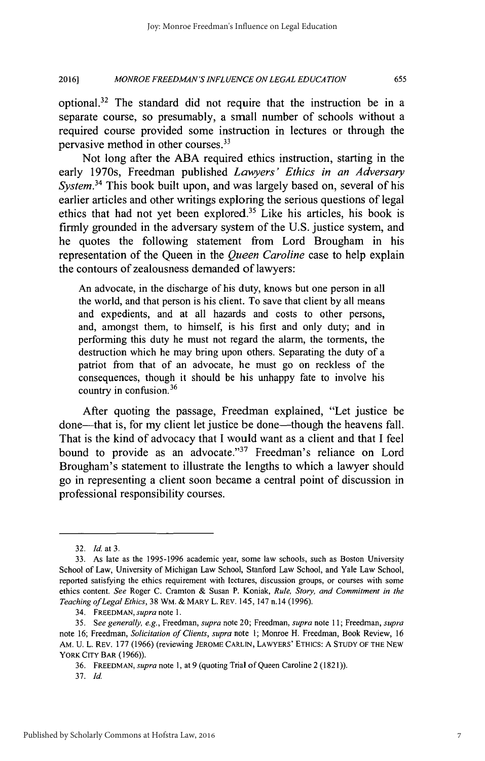#### *MONROE FREEDMAN'S INFLUENCE ON LEGAL EDUCATION* **2016] 655**

optional.<sup>32</sup> The standard did not require that the instruction be in a separate course, so presumably, a small number of schools without a required course provided some instruction in lectures or through the pervasive method in other courses.<sup>33</sup>

Not long after the **ABA** required ethics instruction, starting in the early 1970s, Freedman published *Lawyers' Ethics in an Adversary System.<sup>34</sup>*This book built upon, and was largely based on, several of his earlier articles and other writings exploring the serious questions of legal ethics that had not yet been explored.<sup>35</sup> Like his articles, his book is firmly grounded in the adversary system of the **U.S.** justice system, and he quotes the following statement from Lord Brougham in his representation of the Queen in the *Queen Caroline* case to help explain the contours of zealousness demanded of lawyers:

An advocate, in the discharge of his duty, knows but one person in all the world, and that person is his client. To save that client **by** all means and expedients, and at all hazards and costs to other persons, and, amongst them, to himself, is his first and only duty; and in performing this duty he must not regard the alarm, the torments, the destruction which he may bring upon others. Separating the duty of a patriot from that of an advocate, he must go on reckless of the consequences, though it should be his unhappy fate to involve his country in confusion. <sup>36</sup>

After quoting the passage, Freedman explained, "Let justice **be** done—that is, for my client let justice be done—though the heavens fall. That is the kind of advocacy that **I** would want as a client and that **I** feel bound to provide as an advocate."<sup>37</sup> Freedman's reliance on Lord Brougham's statement to illustrate the lengths to which a lawyer should go in representing a client soon became a central point of discussion in professional responsibility courses.

**<sup>32.</sup>** *Id. at 3.*

**<sup>33.</sup>** As late as the **1995-1996** academic year, some law schools, such as Boston University School of Law, University of Michigan Law School, Stanford Law School, and Yale Law School, reported satisfying the ethics requirement with lectures, discussion groups, or courses with some ethics content. *See* Roger **C.** Cramton **&** Susan P. Koniak, *Rule, Story, and Commitment in the Teaching ofLegal Ethics,* **38** WM. **&** MARY L. REv. *145,147* n.14 **(1996).**

<sup>34.</sup> FREEDMAN, *supra note* **1.**

*<sup>35.</sup> See generally, e.g., Freedman, supra* note 20; Freedman, *supra note* **11;** Freedman, *supra* note **16;** Freedman, *Solicitation of Clients, supra* note **1;** Monroe H. Freedman, Book Review, **<sup>16</sup>** AM. **U.** L. **REV. 177 (1966)** (reviewing **JEROME** CARLIN, LAWYERS' ETHIcs: **A STUDY** OF THE **NEW YORK** CITY BAR **(1966)).**

**<sup>36.</sup> FREEDMAN,** *supra note* **1,** at **9** (quoting Trial of Queen Caroline 2 **(1821)).**

**<sup>37.</sup>** *Id.*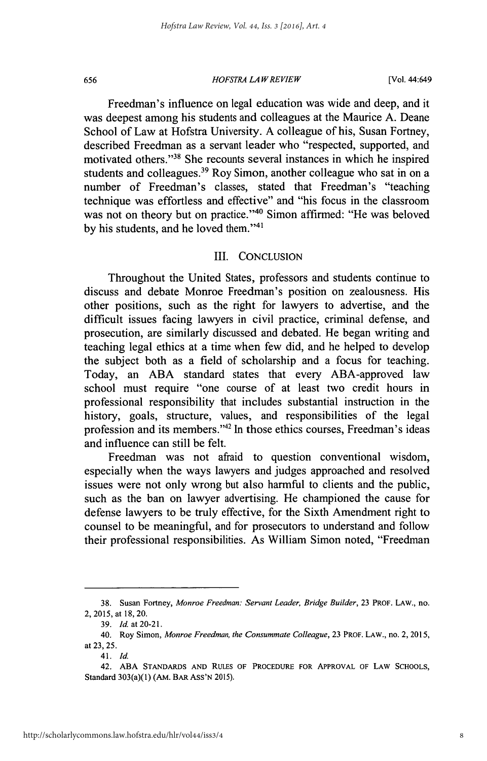#### *HOFSTRA LAW REVIEW* **656** [Vol. 44:649

Freedman's influence on legal education was wide and deep, and it was deepest among his students and colleagues at the Maurice **A.** Deane School of Law at Hofstra University. **A** colleague of his, Susan Fortney, described Freedman as a servant leader who "respected, supported, and motivated others."<sup>38</sup> She recounts several instances in which he inspired students and colleagues.<sup>39</sup> Roy Simon, another colleague who sat in on a number of Freedman's classes, stated that Freedman's "teaching technique was effortless and effective" and "his focus in the classroom was not on theory but on practice."<sup>40</sup> Simon affirmed: "He was beloved by his students, and he loved them."<sup>41</sup>

#### III. **CONCLUSION**

Throughout the United States, professors and students continue to discuss and debate Monroe Freedman's position on zealousness. His other positions, such as the right for lawyers to advertise, and the difficult issues facing lawyers in civil practice, criminal defense, and prosecution, are similarly discussed and debated. He began writing and teaching legal ethics at a time when few did, and he helped to develop the subject both as a field of scholarship and a focus for teaching. Today, an **ABA** standard states that every ABA-approved law school must require "one course of at least two credit hours in professional responsibility that includes substantial instruction in the history, goals, structure, values, and responsibilities of the legal profession and its members."<sup>42</sup> In those ethics courses, Freedman's ideas and influence can still be felt.

Freedman was not afraid to question conventional wisdom, especially when the ways lawyers and judges approached and resolved issues were not only wrong but also harmful to clients and the public, such as the ban on lawyer advertising. He championed the cause for defense lawyers to be truly effective, for the Sixth Amendment right to counsel to be meaningful, and for prosecutors to understand and follow their professional responsibilities. As William Simon noted, "Freedman

**<sup>38.</sup>** Susan Fortney, *Monroe Freedman: Servant Leader, Bridge Builder,* **23 PROF. LAW.,** no. **2, 2015,** at **18,** 20.

**<sup>39.</sup>** *Idat20-21.*

<sup>40.</sup> Roy Simon, *Monroe Freedman, the Consummate Colleague,* **23 PROF. LAW.,** no. **2, 2015,** *at* **23,** *25.*

<sup>4</sup> *1. Id.*

**<sup>42.</sup> ABA STANDARDS AND RULES OF PROCEDURE FOR APPROVAL OF LAW SCHOOLS,** Standard 303(a)(1) **(AM. BAR ASS'N 2015).**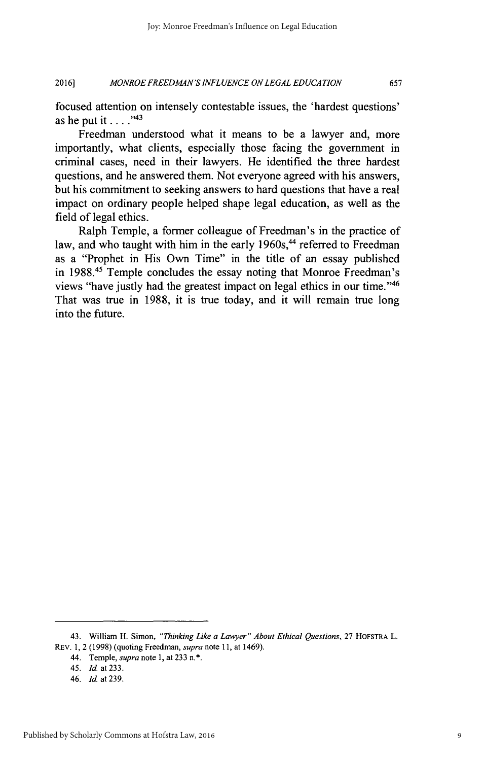#### *MONROE FREEDMAN'S INFLUENCE ON LEGAL EDUCATION* **2016] 657**

focused attention on intensely contestable issues, the 'hardest questions' as he put it **. . . ."**

Freedman understood what it means to be a lawyer and, more importantly, what clients, especially those facing the government in criminal cases, need in their lawyers. He identified the three hardest questions, and he answered them. Not everyone agreed with his answers, but his commitment to seeking answers to hard questions that have a real impact on ordinary people helped shape legal education, as well as the field of legal ethics.

Ralph Temple, a former colleague of Freedman's in the practice of law, and who taught with him in the early 1960s,<sup>44</sup> referred to Freedman as a "Prophet in His Own Time" in the title of an essay published in **1988.45** Temple concludes the essay noting that Monroe Freedman's views "have justly had the greatest impact on legal ethics in our time."<sup>46</sup> That was true in **1988,** it is true today, and it will remain true long into the future.

<sup>43.</sup> William H. Simon, *"Thinking Like a Lawyer" About Ethical Questions,* **27** HOFSTRA L.

REV. **1,** 2 **(1998)** (quoting Freedman, *supra note* **11,** at 1469).

<sup>44.</sup> Temple, *supra* note **1,** at **233** n.\*.

*<sup>45.</sup> Id.* at **233.**

<sup>46.</sup> *Id* at **239.**